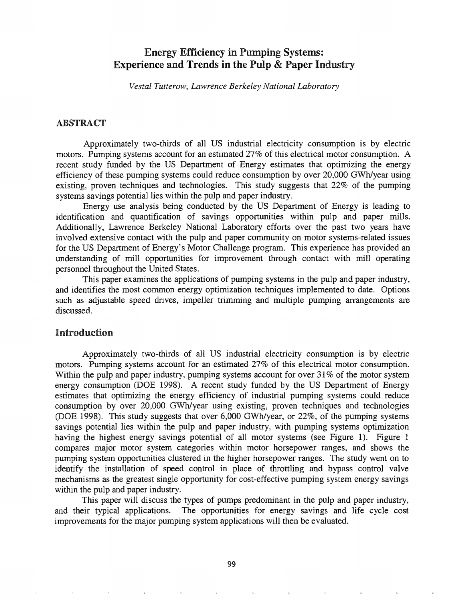# Energy Efficiency in Pumping Systems: Experience and Trends in the Pulp & Paper Industry

*Vestal Tutterow, Lawrence Berkeley National Laboratory*

#### ABSTRACT

Approximately two-thirds of all US industrial electricity consumption is by electric motors. Pumping systems account for an estimated 27% of this electrical motor consumption. A recent study funded by the US Department of Energy estimates that optimizing the energy efficiency of these pumping systems could reduce consumption by over 20,000 GWh/year using existing, proven techniques and technologies. This study suggests that 22% of the pumping systems savings potential lies within the pulp and paper industry.

Energy use analysis being conducted by the US Department of Energy is leading to identification and quantification of savings opportunities within pulp and paper mills. Additionally, Lawrence Berkeley National Laboratory efforts over the past two years have involved extensive contact with the pulp and paper community on motor systems-related issues for the US Department of Energy's Motor Challenge program. This experience has provided an understanding of mill opportunities for improvement through contact with mill operating personnel throughout the United States.

This paper examines the applications of pumping systems in the pulp and paper industry, and identifies the most common energy optimization techniques implemented to date. Options such as adjustable speed drives, impeller trimming and multiple pumping arrangements are discussed.

#### Introduction

Approximately two-thirds of all US industrial electricity consumption is by electric motors. Pumping systems account for an estimated 27% of this electrical motor consumption. Within the pulp and paper industry, pumping systems account for over 31% of the motor system energy consumption (DOE 1998). A recent study funded by the US Department of Energy estimates that optimizing the energy efficiency of industrial pumping systems could reduce consumption by over 20,000 GWh/year using existing, proven techniques and technologies (DOE 1998). This study suggests that over 6,000 GWhlyear, or 22%, of the pumping systems savings potential lies within the pulp and paper industry, with pumping systems optimization having the highest energy savings potential of all motor systems (see Figure 1). Figure 1 compares major motor system categories within motor horsepower ranges, and shows the pumping system opportunities clustered in the higher horsepower ranges. The study went on to identify the installation of speed control in place of throttling and bypass control valve mechanisms as the greatest single opportunity for cost-effective pumping system energy savings within the pulp and paper industry.

This paper will discuss the types of pumps predominant in the pulp and paper industry, and their typical applications. The opportunities for energy savings and life cycle cost improvements for the major pumping system applications will then be evaluated.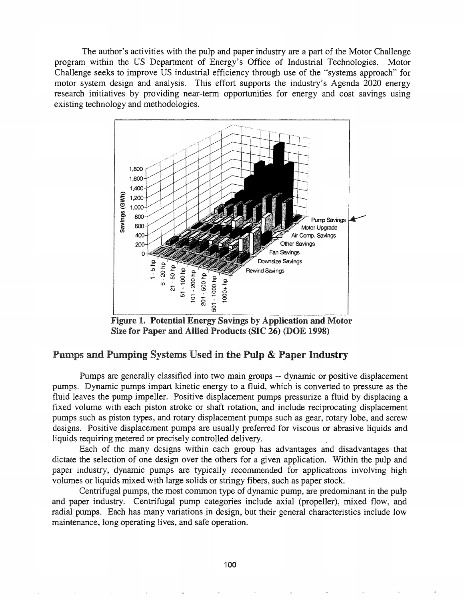The author's activities with the pulp and paper industry are a part of the Motor Challenge program within the US Department of Energy's Office of Industrial Technologies. Motor Challenge seeks to improve US industrial efficiency through use of the "systems approach" for motor system design and analysis. This effort supports the industry's Agenda 2020 energy research initiatives by providing near-term opportunities for energy and cost savings using existing technology and methodologies.



Figure 1. Potential Energy Savings by Application and Motor Size for Paper and Allied Products (SIC 26) (DOE 1998)

## Pumps and Pumping Systems Used in the Pulp & Paper Industry

Pumps are generally classified into two main groups -- dynamic or positive displacement pumps. Dynamic pumps impart kinetic energy to a fluid, which is converted to pressure as the fluid leaves the pump impeller. Positive displacement pumps pressurize a fluid by displacing a fixed volume with each piston stroke or shaft rotation, and include reciprocating displacement pumps such as piston types, and rotary displacement pumps such as gear, rotary lobe, and screw designs. Positive displacement pumps are usually preferred for viscous or abrasive liquids and liquids requiring metered or precisely controlled delivery. .

Each of the many designs within each group has advantages and disadvantages that dictate the selection of one design over the others for a given application. Within the pulp and paper industry, dynamic pumps are typically recommended for applications involving high volumes or liquids mixed with large solids or stringy fibers, such as paper stock.

Centrifugal pumps, the most common type of dynamic pump, are predominant in the pulp and paper industry. Centrifugal pump categories include axial (propeller), mixed flow, and radial pumps. Each has many variations in design, but their general characteristics include low maintenance, long operating lives, and safe operation.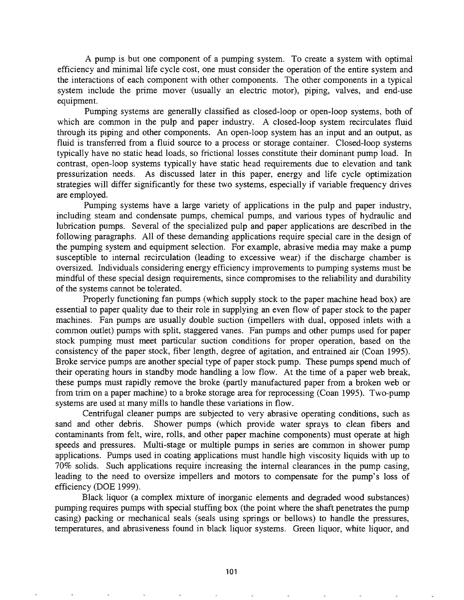A pump is but one component of a pumping system. To create a system with optimal efficiency and minimal life cycle cost, one must consider the operation of the entire system and the interactions of each component with other components. The other components in a typical system include the prime mover (usually an electric motor), piping, valves, and end-use equipment.

Pumping systems are generally classified as closed-loop or open-loop systems, both of which are common in the pulp and paper industry. A closed-loop system recirculates fluid through its piping and other components. An open-loop system has an input and an output, as fluid is transferred from a fluid source to a process or storage container. Closed-loop systems typically have no static head loads, so frictional losses constitute their dominant pump load. In contrast, open-loop systems typically have static head requirements due to elevation and tank pressurization needs. As discussed later in this paper, energy and life cycle optimization strategies will differ significantly for these two systems, especially if variable frequency drives are employed.

Pumping systems have a large variety of applications in the pulp and paper industry, including steam and condensate pumps, chemical pumps, and various types of hydraulic and lubrication pumps. Several of the specialized pulp and paper applications are described in the following paragraphs. All of these demanding applications require special care in the design of the pumping system and equipment selection. For example, abrasive media may make a pump susceptible to internal recirculation (leading to excessive wear) if the discharge chamber is oversized. Individuals considering energy efficiency improvements to pumping systems must be mindful of these special design requirements, since compromises to the reliability and durability of the systems cannot be tolerated.

Properly functioning fan pumps (which supply stock to the paper machine head box) are essential to paper quality due to their role in supplying an even flow of paper stock to the paper machines. Fan pumps are usually double suction (impellers with dual, opposed inlets with a common outlet) pumps with split, staggered vanes. Fan pumps and other pumps used for paper stock pumping must meet particular suction conditions for proper operation, based on the consistency of the paper stock, fiber length, degree of agitation, and entrained air (Coan 1995). Broke service pumps are another special type of paper stock pump. These pumps spend much of their operating hours in standby mode handling a low flow. At the time of a paper web break, these pumps must rapidly remove the broke (partly manufactured paper from a broken web or from trim on a paper machine) to a broke storage area for reprocessing (Coan 1995). Two-pump systems are used at many mills to handle these variations in flow.

Centrifugal cleaner pumps are subjected to very abrasive operating conditions, such as sand and other debris. Shower pumps (which provide water sprays to clean fibers and contaminants from felt, wire, rolls, and other paper machine components) must operate at high speeds and pressures. Multi-stage or multiple pumps in series are common in shower pump applications. Pumps used in coating applications must handle high viscosity liquids with up to 70% solids. Such applications require increasing the internal clearances in the pump casing, leading to the need to oversize impellers and motors to compensate for the pump's loss of efficiency (DOE 1999).

Black liquor (a complex mixture of inorganic elements and degraded wood substances) pumping requires pumps with special stuffing box (the point where the shaft penetrates the pump casing) packing or mechanical seals (seals using springs or bellows) to handle the pressures, temperatures, and abrasiveness found in black liquor systems. Green liquor, white liquor, and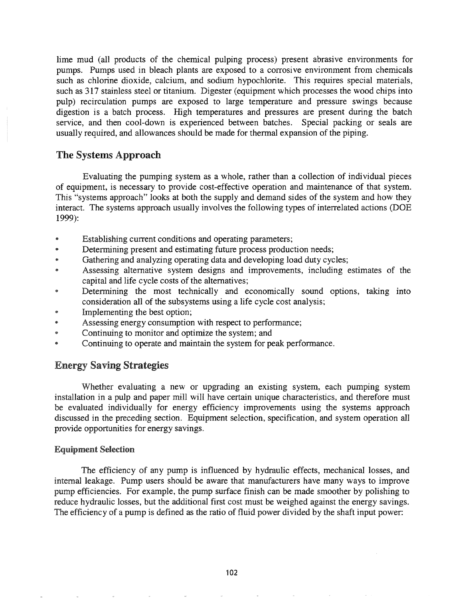lime mud (all products of the chemical pulping process) present abrasive environments for pumps. Pumps used in bleach plants are exposed to a corrosive environment from chemicals such as chlorine dioxide, calcium, and sodium hypochlorite. This requires special materials, such as 317 stainless steel or titanium. Digester (equipment which processes the wood chips into pulp) recirculation pumps are exposed to large temperature and pressure swings because digestion is a batch process. High temperatures and pressures are present during the batch service, and then cool-down is experienced between batches. Special packing or seals are usually required, and allowances should be made for thermal expansion of the piping.

## The Systems Approach

Evaluating the pumping system as a whole, rather than a collection of individual pieces of equipment, is necessary to provide cost-effective operation and maintenance of that system. This "systems approach" looks at both the supply and demand sides of the system and how they interact. The systems approach usually involves the following types of interrelated actions (DOE 1999):

- @ Establishing current conditions and operating parameters;
- Determining present and estimating future process production needs;
- Gathering and analyzing operating data and developing load duty cycles;
- <sup>e</sup> Assessing alternative system designs and improvements, including estimates of the capital and life cycle costs of the alternatives;
- Determining the most technically and economically sound options, taking into consideration all of the subsystems using a life cycle cost analysis;
- Implementing the best option;
- \* Assessing energy consumption with respect to performance;
- Continuing to monitor and optimize the system; and
- @ Continuing to operate and maintain the system for peak performance..

## Energy Saving Strategies

Whether evaluating a new or upgrading an existing system, each pumping system installation in a pulp and paper mill will have certain unique characteristics, and therefore must be evaluated individually for energy efficiency improvements using the systems approach discussed in the preceding section. Equipment selection, specification, and system operation all provide opportunities for energy savings.

## Equipment Selection

The efficiency of any pump is influenced by hydraulic effects, mechanical losses, and internal leakage.. Pump users should be aware that manufacturers have many ways to improve pump efficiencies. For example, the pump surface finish can be made smoother by polishing to reduce hydraulic losses, but the additional first cost must be weighed against the energy savings. The efficiency of a pump is defined as the ratio of fluid power divided by the shaft input power: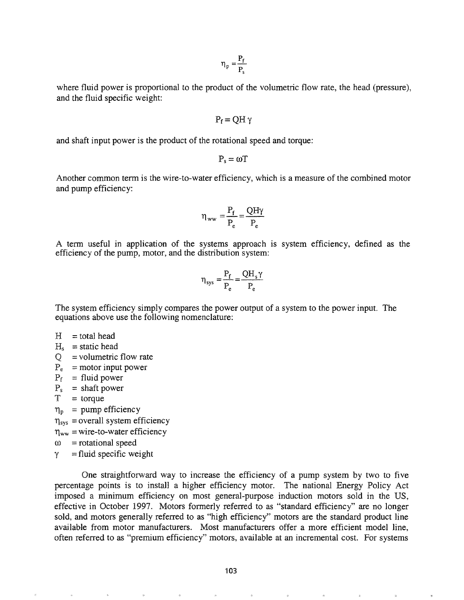$$
\eta_p=\frac{P_f}{P_s}
$$

where fluid power is proportional to the product of the volumetric flow rate, the head (pressure), and the fluid specific weight:

$$
P_f=QH\,\gamma
$$

and shaft input power is the product of the rotational speed and torque:

$$
P_s = \omega T
$$

Another common term is the wire-to-water efficiency, which is a measure of the combined motor and pump efficiency:

$$
\eta_{ww} = \frac{P_f}{P_e} = \frac{QH\gamma}{P_e}
$$

A term useful in application of the systems approach is system efficiency, defined as the efficiency of the pump, motor, and the distribution system:

$$
\eta_{\text{sys}} = \frac{P_f}{P_e} = \frac{QH_s\gamma}{P_e}
$$

The system efficiency simply compares the power output of a system to the power input. The equations above use the following nomenclature:

- $H =$  total head
- $H_s$  = static head
- $Q =$ volumetric flow rate
- $P_e$  = motor input power
- $P_f$  = fluid power
- $P_s$  = shaft power
- $T = torque$
- $\eta_{\rm p}$  = pump efficiency
- $\eta_{sys}$  = overall system efficiency
- $\eta_{ww}$  = wire-to-water efficiency
- $\omega$  = rotational speed
- $\gamma$  = fluid specific weight

One straightforward way to increase the efficiency of a pump system by two to five percentage points is to install a higher efficiency motor. The national Energy Policy Act imposed a minimum efficiency on most general-purpose induction motors sold in the US, effective in October 1997. Motors formerly referred to as "standard efficiency" are no longer sold, and motors generally referred to as "high efficiency" motors are the standard product line available from motor manufacturers. Most manufacturers offer a more efficient model line, often referred to as "premium efficiency" motors, available at an incremental cost. For systems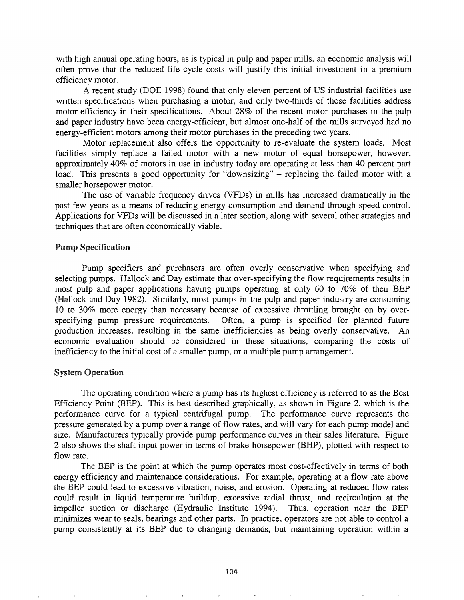with high annual operating hours, as is typical in pulp and paper mills, an economic analysis will often prove that the reduced life cycle costs will justify this initial investment in a premium efficiency motor.

A recent study (DOE 1998) found that only eleven percent of US industrial facilities use written specifications when purchasing a motor, and only two-thirds of those facilities address motor efficiency in their specifications. About 28% of the recent motor purchases in the pulp and paper industry have been energy-efficient, but almost one-half of the mills surveyed had no energy-efficient motors among their motor purchases in the preceding two years.

Motor replacement also offers the opportunity to re-evaluate the system loads. Most facilities simply replace a failed motor with a new motor of equal horsepower, however, approximately 40% of motors in use in industry today are operating at less than 40 percent part load. This presents a good opportunity for "downsizing" - replacing the failed motor with a smaller horsepower motor.

The use of variable frequency drives (VFDs) in mills has increased dramatically in the past few years as a means of reducing energy consumption and demand through speed controL Applications for VFDs will be discussed in a later section, along with several other strategies and techniques that are often economically viable.

#### Pump Specification

Pump specifiers and purchasers are often overly conservative when specifying and selecting pumps. Hallock and Day estimate that over-specifying the flow requirements results in most pulp and paper applications having pumps operating at only 60 to 70% of their BEP (Hallock and Day 1982). Similarly, most pumps in the pulp and paper industry are consuming 10 to 30% more energy than necessary because of excessive throttling brought on by overspecifying pump pressure requirements. Often, a pump is specified for planned future production increases, resulting in the same inefficiencies as being overly conservative. An economic evaluation should be considered in these situations, comparing the costs of inefficiency to the initial cost of a smaller pump, or a multiple pump arrangement.

#### System Operation

The operating condition where a pump has its highest efficiency is referred to as the Best Efficiency Point (BEP). This is best described graphically, as shown in Figure 2, which is the perforrnance curve for a typical centrifugal pump. The performance curve represents the pressure generated by a pump over a range of flow rates, and will vary for each pump model and size. Manufacturers typically provide pump performance curves in their sales literature. Figure 2 also shows the shaft input power in terms of brake horsepower (BHP), plotted with respect to flow rate.

The BEP is the point at which the pump operates most cost-effectively in terms of both energy efficiency and maintenance considerations. For example, operating at a flow rate above the BEP could lead to excessive vibration, noise, and erosion. Operating at reduced flow rates could result in liquid temperature buildup, excessive radial thrust, and recirculation at the impeller suction or discharge (Hydraulic Institute 1994). Thus, operation near the BEP minimizes wear to seals, bearings and other parts. In practice, operators are not able to control a pump consistently at its BEP due to changing demands, but maintaining operation within a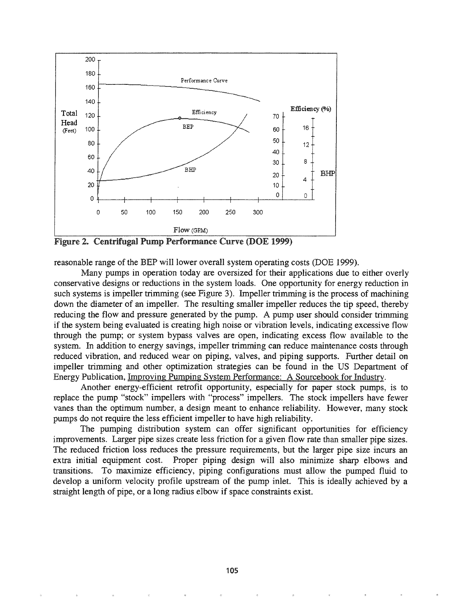

Figure 2. Centrifugal Pump Performance Curve (DOE 1999)

reasonable range of the BEP will lower overall system operating costs (DOE 1999).

Many pumps in operation today are oversized for their applications due to either overly conservative designs or reductions in the system loads. One opportunity for energy reduction in such systems is impeller trimming (see Figure 3). Impeller trimming is the process of machining down the diameter of an impeller. The resulting smaller impeller reduces the tip speed, thereby reducing the flow and pressure generated by the pump. A pump user should consider trimming if the system being evaluated is creating high noise or vibration levels, indicating excessive flow through the pump; or system bypass valves are open, indicating excess flow available to the system.. In addition to energy savings, impeller trimming can reduce maintenance costs through reduced vibration, and reduced wear on piping, valves, and piping supports. Further detail on impeller trimming and other optimization strategies can be found in the US Department of Energy Publication, Improving Pumping System Performance: A Sourcebook for Industry~

Another energy-efficient retrofit opportunity, especially for paper stock pumps, is to replace the pump "stock" impellers with "process" impellers.. The stock impellers have fewer vanes than the optimum number, a design meant to enhance reliability.. However, many stock pumps do not require the less efficient impeller to have high reliability..

The pumping distribution system can offer significant opportunities for efficiency improvements. Larger pipe sizes create less friction for a given flow rate than smaller pipe sizes. The reduced friction loss reduces the pressure requirements, but the larger pipe size incurs an extra initial equipment cost. Proper piping design will also minimize sharp elbows and transitions.. To maximize efficiency, piping configurations must allow the pumped fluid to develop a uniform velocity profile upstream of the pump inlet. This is ideally achieved by a straight length of pipe, or a long radius elbow if space constraints exist..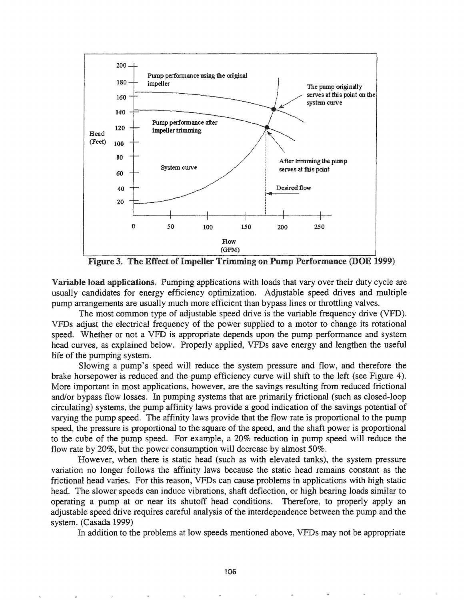

Figure 3. The Effect of Impeller Trimming on Pump Performance (DOE 1999)

Variable load applications. Pumping applications with loads that vary over their duty cycle are usually candidates for energy efficiency optimization. Adjustable speed drives and multiple pump arrangements are usually much more efficient than bypass lines or throttling valves.

The most common type of adjustable speed drive is the variable frequency drive (VFD). VFDs adjust the electrical frequency of the power supplied to a motor to change its rotational speed. Whether or not a VFD is appropriate depends upon the pump performance and system head curves, as explained below. Properly applied, VFDs save energy and lengthen the useful life of the pumping system.

Slowing a pump's speed will reduce the system pressure and flow, and therefore the brake horsepower is reduced and the pump efficiency curve will shift to the left (see Figure 4). More important in most applications, however, are the savings resulting from reduced frictional and/or bypass flow losses. In pumping systems that are primarily frictional (such as closed-loop circulating) systems, the pump affinity laws provide a good indication of the savings potential of varying the pump speed. The affinity laws provide that the flow rate is proportional to the pump speed, the pressure is proportional to the square of the speed, and the shaft power is proportional to the cube of the pump speed. For example, a 20% reduction in pump speed will reduce the flow rate by 20%, but the power consumption will decrease by almost 50%.

However, when there is static head (such as with elevated tanks), the system pressure variation no longer follows the affinity laws because the static head remains constant as the frictional head varies. For this reason, VFDs can cause problems in applications with high static head. The slower speeds can induce vibrations, shaft deflection, or high bearing loads similar to operating a pump at or near its shutoff head conditions. Therefore, to properly apply an adjustable speed drive requires careful analysis of the interdependence between the pump and the system. (Casada 1999)

In addition to the problems at low speeds mentioned above, VFDs may not be appropriate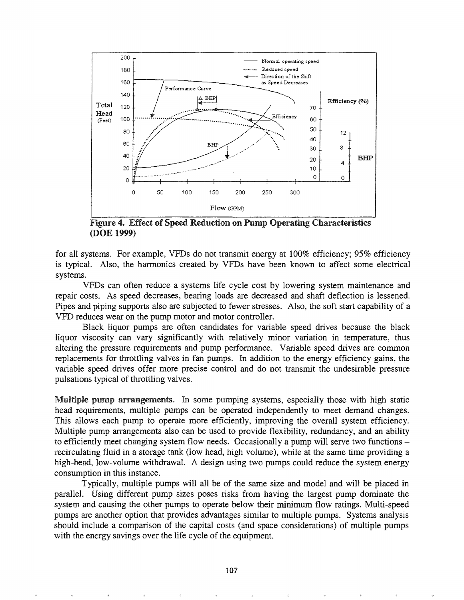

Figure 4. Effect of Speed Reduction on Pump Operating Characteristics (DOE 1999)

for all systems. For example, VFDs do not transmit energy at 100% efficiency; 95% efficiency is typical. Also, the harmonics created by VFDs have been known to affect some electrical systems.

VFDs can often reduce a systems life cycle cost by lowering system maintenance and repair costs. As speed decreases, bearing loads are decreased and shaft deflection is lessened. Pipes and piping supports also are subjected to fewer stresses. Also, the soft start capability of a VFD reduces wear on the pump motor and motor controller.

Black liquor pumps are often candidates for variable speed drives because the black liquor viscosity can vary significantly with relatively minor variation in temperature, thus altering the pressure requirements and pump performance. Variable speed drives are common replacements for throttling valves in fan pumps. In addition to the energy efficiency gains, the variable speed drives offer more precise control and do not transmit the undesirable pressure pulsations typical of throttling valves.

Multiple pump arrangements. In some pumping systems, especially those with high static head requirements, multiple pumps can be operated independently to meet demand changes. This allows each pump to operate more efficiently, improving the overall system efficiency. Multiple pump arrangements also can be used to provide flexibility, redundancy, and an ability to efficiently meet changing system flow needs. Occasionally a pump will serve two functions – recirculating fluid in a storage tank (low head, high volume), while at the same time providing a high-head, low-volume withdrawal. A design using two pumps could reduce the system energy consumption in this instance.

Typically, multiple pumps will all be of the same size and model and will be placed in parallel. Using different pump sizes poses risks from having the largest pump dominate the system and causing the other pumps to operate below their minimum flow ratings. Multi-speed pumps are another option that provides advantages similar to multiple pumps. Systems analysis should include a comparison of the capital costs (and space considerations) of multiple pumps with the energy savings over the life cycle of the equipment.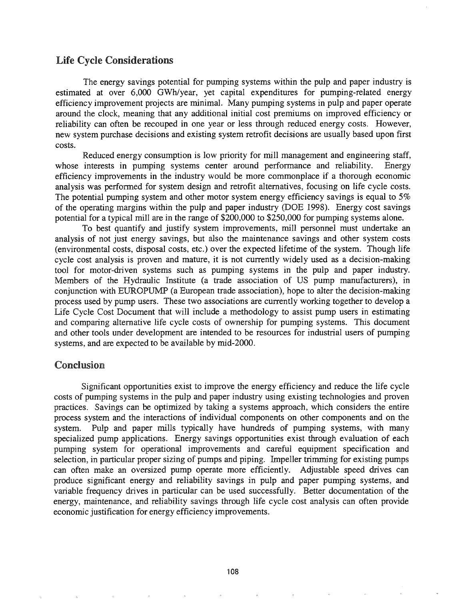## Life Cycle Considerations

The energy savings potential for pumping systems within the pulp and paper industry is estimated at over 6,000 GWhlyear, yet capital expenditures for pumping-related energy efficiency improvement projects are minimal. Many pumping systems in pulp and paper operate around the clock, meaning that any additional initial cost premiums on improved efficiency or reliability can often be recouped in one year or less through reduced energy costs. However, new system purchase decisions and existing system retrofit decisions are usually based upon first costs.

Reduced energy consumption is low priority for mill management and engineering staff, whose interests in pumping systems center around performance and reliability. Energy efficiency improvements in the industry would be more commonplace if a thorough economic analysis was performed for system design and retrofit alternatives, focusing on life cycle costs. The potential pumping system and other motor system energy efficiency savings is equal to 5% of the operating margins within the pulp and paper industry (DOE 1998). Energy cost savings potential for a typical mill are in the range of \$200,000 to \$250,000 for pumping systems alone.

To best quantify and justify system improvements, mill personnel must undertake an analysis of not just energy savings, but also the maintenance savings and other system costs (environmental costs, disposal costs, etc.) over the expected lifetime of the system. Though life cycle cost analysis is proven and mature, it is not currently widely used as a decision-making tool for motor-driven systems such as pumping systems in the pulp and paper industry. Members of the Hydraulic Institute (a trade association of US pump manufacturers), in conjunction with EUROPUMP (a European trade association), hope to alter the decision-making process used by pump users. These two associations are currently working together to develop a Life Cycle Cost Document that will include a methodology to assist pump users in estimating and comparing alternative life cycle costs of ownership for pumping systems. This document and other tools under development are intended to be resources for industrial users of pumping systems, and are expected to be available by mid-2000.

#### Conclusion

Significant opportunities exist to improve the energy efficiency and reduce the life cycle costs of pumping systems in the pulp and paper industry using existing technologies and proven practices. Savings can be optimized by taking a systems approach, which considers the entire process system and the interactions of individual components on other components and on the system. Pulp and paper mills typically have hundreds of pumping systems, with many specialized pump applications. Energy savings opportunities exist through evaluation of each pumping system for operational improvements and careful equipment specification and selection, in particular proper sizing of pumps and piping. Impeller trimming for existing pumps can often make an oversized pump operate more efficiently. Adjustable speed drives can produce significant energy and reliability savings in pulp and paper pumping systems, and variable frequency drives in particular can be used successfully. Better documentation of the energy, maintenance, and reliability savings through life cycle cost analysis can often provide economic justification for energy efficiency improvements.